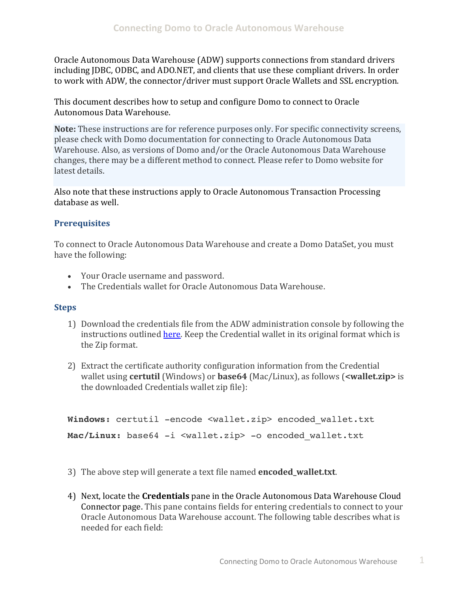Oracle Autonomous Data Warehouse (ADW) supports connections from standard drivers including JDBC, ODBC, and ADO.NET, and clients that use these compliant drivers. In order to work with ADW, the connector/driver must support Oracle Wallets and SSL encryption.

This document describes how to setup and configure Domo to connect to Oracle Autonomous Data Warehouse.

 please check with Domo documentation for connecting to Oracle Autonomous Data Warehouse. Also, as versions of Domo and/or the Oracle Autonomous Data Warehouse changes, there may be a different method to connect. Please refer to Domo website for **Note:** These instructions are for reference purposes only. For specific connectivity screens, latest details

 Also note that these instructions apply to Oracle Autonomous Transaction Processing database as well.

## **Prerequisites**

To connect to Oracle Autonomous Data Warehouse and create a Domo DataSet, you must have the following:

- Your Oracle username and password.
- The Credentials wallet for Oracle Autonomous Data Warehouse.

## **Steps**

- 1) Download the credentials file from the ADW administration console by following the instructions outlined *here*. Keep the Credential wallet in its original format which is the Zip format.
- 2) Extract the certificate authority configuration information from the Credential wallet using **certutil** (Windows) or **base64** (Mac/Linux), as follows (**<wallet.zip>** is the downloaded Credentials wallet zip file):

```
Windows: certutil -encode <wallet.zip> encoded wallet.txt
Mac/Linux: base64 -i <wallet.zip> -o encoded_wallet.txt
```
- 3) The above step will generate a text file named **encoded\_wallet.txt**.
- 4) Next, locate the **Credentials** pane in the Oracle Autonomous Data Warehouse Cloud Oracle Autonomous Data Warehouse account. The following table describes what is Connector page. This pane contains fields for entering credentials to connect to your needed for each field: